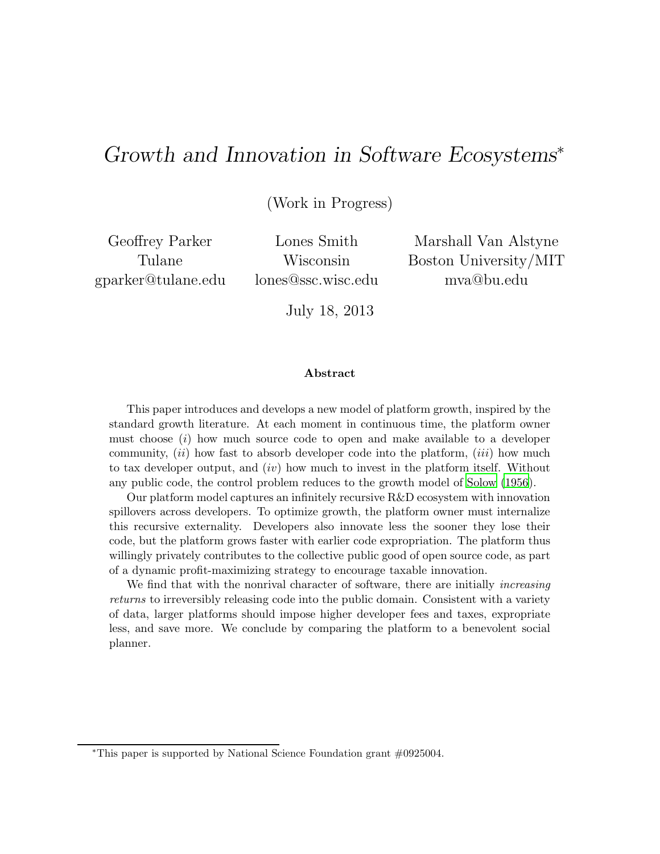# Growth and Innovation in Software Ecosystems<sup>∗</sup>

(Work in Progress)

Geoffrey Parker Tulane gparker@tulane.edu

Lones Smith Wisconsin lones@ssc.wisc.edu

Marshall Van Alstyne Boston University/MIT mva@bu.edu

July 18, 2013

#### Abstract

This paper introduces and develops a new model of platform growth, inspired by the standard growth literature. At each moment in continuous time, the platform owner must choose (i) how much source code to open and make available to a developer community,  $(ii)$  how fast to absorb developer code into the platform,  $(iii)$  how much to tax developer output, and  $(iv)$  how much to invest in the platform itself. Without any public code, the control problem reduces to the growth model of [Solow \(1956](#page-20-0)).

Our platform model captures an infinitely recursive R&D ecosystem with innovation spillovers across developers. To optimize growth, the platform owner must internalize this recursive externality. Developers also innovate less the sooner they lose their code, but the platform grows faster with earlier code expropriation. The platform thus willingly privately contributes to the collective public good of open source code, as part of a dynamic profit-maximizing strategy to encourage taxable innovation.

We find that with the nonrival character of software, there are initially *increasing* returns to irreversibly releasing code into the public domain. Consistent with a variety of data, larger platforms should impose higher developer fees and taxes, expropriate less, and save more. We conclude by comparing the platform to a benevolent social planner.

<sup>∗</sup>This paper is supported by National Science Foundation grant #0925004.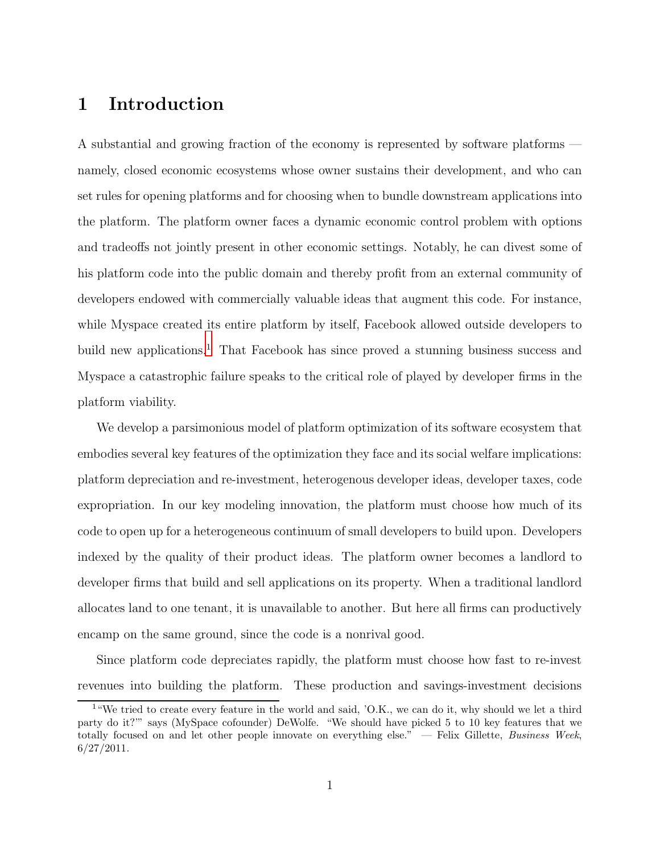# 1 Introduction

A substantial and growing fraction of the economy is represented by software platforms namely, closed economic ecosystems whose owner sustains their development, and who can set rules for opening platforms and for choosing when to bundle downstream applications into the platform. The platform owner faces a dynamic economic control problem with options and tradeoffs not jointly present in other economic settings. Notably, he can divest some of his platform code into the public domain and thereby profit from an external community of developers endowed with commercially valuable ideas that augment this code. For instance, while Myspace created its entire platform by itself, Facebook allowed outside developers to build new applications.<sup>[1](#page-1-0)</sup> That Facebook has since proved a stunning business success and Myspace a catastrophic failure speaks to the critical role of played by developer firms in the platform viability.

We develop a parsimonious model of platform optimization of its software ecosystem that embodies several key features of the optimization they face and its social welfare implications: platform depreciation and re-investment, heterogenous developer ideas, developer taxes, code expropriation. In our key modeling innovation, the platform must choose how much of its code to open up for a heterogeneous continuum of small developers to build upon. Developers indexed by the quality of their product ideas. The platform owner becomes a landlord to developer firms that build and sell applications on its property. When a traditional landlord allocates land to one tenant, it is unavailable to another. But here all firms can productively encamp on the same ground, since the code is a nonrival good.

Since platform code depreciates rapidly, the platform must choose how fast to re-invest revenues into building the platform. These production and savings-investment decisions

<span id="page-1-0"></span><sup>1</sup>"We tried to create every feature in the world and said, 'O.K., we can do it, why should we let a third party do it?'" says (MySpace cofounder) DeWolfe. "We should have picked 5 to 10 key features that we totally focused on and let other people innovate on everything else." — Felix Gillette, Business Week,  $6/27/2011$ .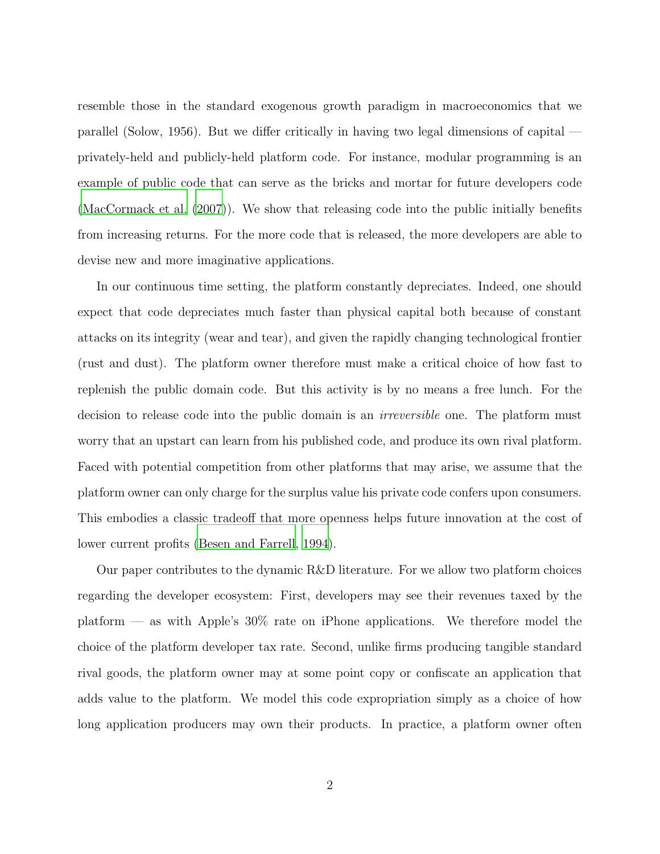resemble those in the standard exogenous growth paradigm in macroeconomics that we parallel (Solow, 1956). But we differ critically in having two legal dimensions of capital privately-held and publicly-held platform code. For instance, modular programming is an example of public code that can serve as the bricks and mortar for future developers code [\(MacCormack et al. \(2007](#page-20-1))). We show that releasing code into the public initially benefits from increasing returns. For the more code that is released, the more developers are able to devise new and more imaginative applications.

In our continuous time setting, the platform constantly depreciates. Indeed, one should expect that code depreciates much faster than physical capital both because of constant attacks on its integrity (wear and tear), and given the rapidly changing technological frontier (rust and dust). The platform owner therefore must make a critical choice of how fast to replenish the public domain code. But this activity is by no means a free lunch. For the decision to release code into the public domain is an irreversible one. The platform must worry that an upstart can learn from his published code, and produce its own rival platform. Faced with potential competition from other platforms that may arise, we assume that the platform owner can only charge for the surplus value his private code confers upon consumers. This embodies a classic tradeoff that more openness helps future innovation at the cost of lower current profits [\(Besen and Farrell](#page-20-2), [1994\)](#page-20-2).

Our paper contributes to the dynamic R&D literature. For we allow two platform choices regarding the developer ecosystem: First, developers may see their revenues taxed by the platform — as with Apple's 30% rate on iPhone applications. We therefore model the choice of the platform developer tax rate. Second, unlike firms producing tangible standard rival goods, the platform owner may at some point copy or confiscate an application that adds value to the platform. We model this code expropriation simply as a choice of how long application producers may own their products. In practice, a platform owner often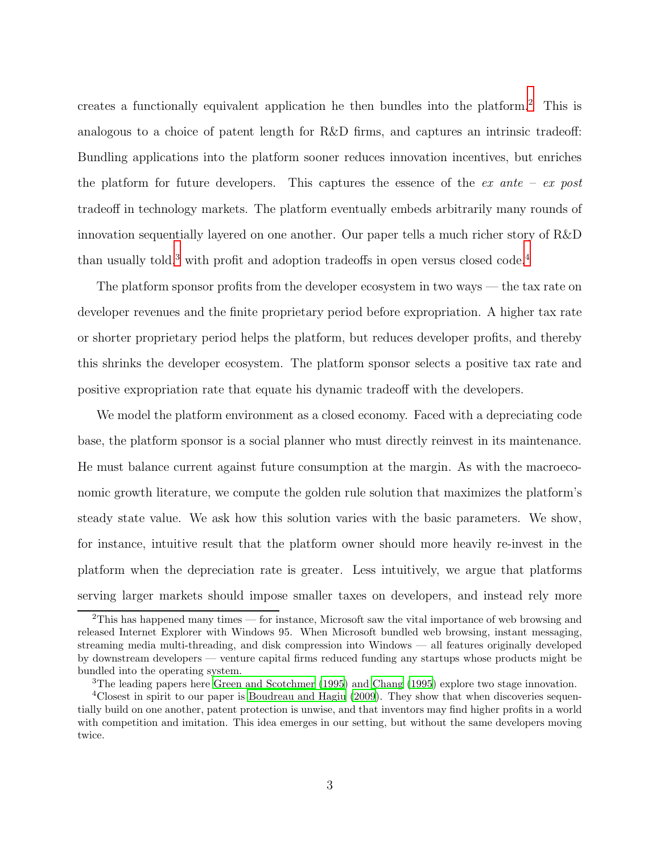creates a functionally equivalent application he then bundles into the platform.[2](#page-3-0) This is analogous to a choice of patent length for R&D firms, and captures an intrinsic tradeoff: Bundling applications into the platform sooner reduces innovation incentives, but enriches the platform for future developers. This captures the essence of the  $ex$  ante –  $ex$  post tradeoff in technology markets. The platform eventually embeds arbitrarily many rounds of innovation sequentially layered on one another. Our paper tells a much richer story of R&D than usually told, $3$  with profit and adoption tradeoffs in open versus closed code. $4$ 

The platform sponsor profits from the developer ecosystem in two ways — the tax rate on developer revenues and the finite proprietary period before expropriation. A higher tax rate or shorter proprietary period helps the platform, but reduces developer profits, and thereby this shrinks the developer ecosystem. The platform sponsor selects a positive tax rate and positive expropriation rate that equate his dynamic tradeoff with the developers.

We model the platform environment as a closed economy. Faced with a depreciating code base, the platform sponsor is a social planner who must directly reinvest in its maintenance. He must balance current against future consumption at the margin. As with the macroeconomic growth literature, we compute the golden rule solution that maximizes the platform's steady state value. We ask how this solution varies with the basic parameters. We show, for instance, intuitive result that the platform owner should more heavily re-invest in the platform when the depreciation rate is greater. Less intuitively, we argue that platforms serving larger markets should impose smaller taxes on developers, and instead rely more

<span id="page-3-0"></span><sup>2</sup>This has happened many times — for instance, Microsoft saw the vital importance of web browsing and released Internet Explorer with Windows 95. When Microsoft bundled web browsing, instant messaging, streaming media multi-threading, and disk compression into Windows — all features originally developed by downstream developers — venture capital firms reduced funding any startups whose products might be bundled into the operating system.

<span id="page-3-1"></span><sup>&</sup>lt;sup>3</sup>The leading papers here [Green and Scotchmer \(1995\)](#page-20-3) and [Chang \(1995](#page-20-4)) explore two stage innovation.

<span id="page-3-2"></span><sup>&</sup>lt;sup>4</sup>Closest in spirit to our paper is [Boudreau and Hagiu \(2009\)](#page-20-5). They show that when discoveries sequentially build on one another, patent protection is unwise, and that inventors may find higher profits in a world with competition and imitation. This idea emerges in our setting, but without the same developers moving twice.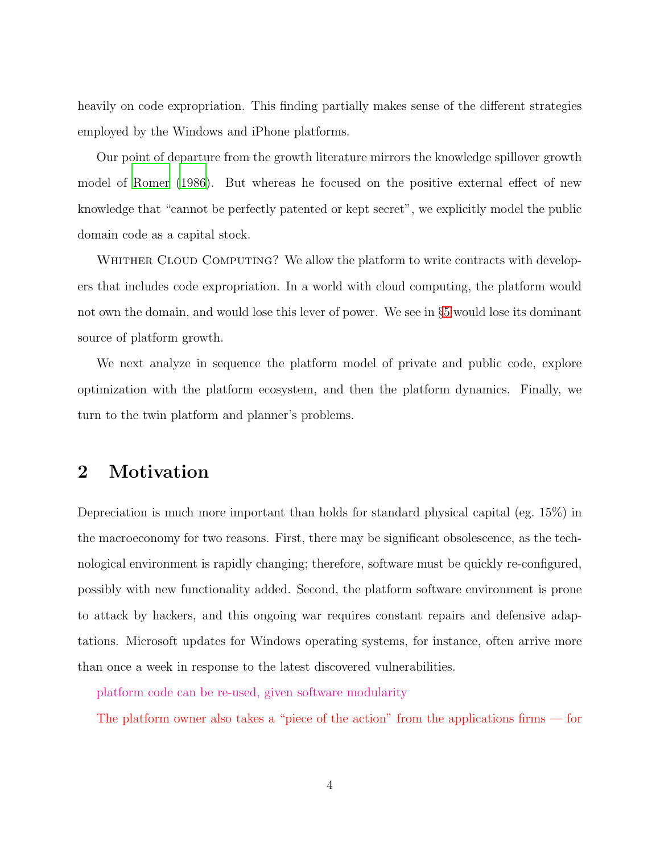heavily on code expropriation. This finding partially makes sense of the different strategies employed by the Windows and iPhone platforms.

Our point of departure from the growth literature mirrors the knowledge spillover growth model of [Romer \(1986](#page-20-6)). But whereas he focused on the positive external effect of new knowledge that "cannot be perfectly patented or kept secret", we explicitly model the public domain code as a capital stock.

WHITHER CLOUD COMPUTING? We allow the platform to write contracts with developers that includes code expropriation. In a world with cloud computing, the platform would not own the domain, and would lose this lever of power. We see in §[5](#page-12-0) would lose its dominant source of platform growth.

We next analyze in sequence the platform model of private and public code, explore optimization with the platform ecosystem, and then the platform dynamics. Finally, we turn to the twin platform and planner's problems.

# 2 Motivation

Depreciation is much more important than holds for standard physical capital (eg. 15%) in the macroeconomy for two reasons. First, there may be significant obsolescence, as the technological environment is rapidly changing; therefore, software must be quickly re-configured, possibly with new functionality added. Second, the platform software environment is prone to attack by hackers, and this ongoing war requires constant repairs and defensive adaptations. Microsoft updates for Windows operating systems, for instance, often arrive more than once a week in response to the latest discovered vulnerabilities.

platform code can be re-used, given software modularity

The platform owner also takes a "piece of the action" from the applications firms — for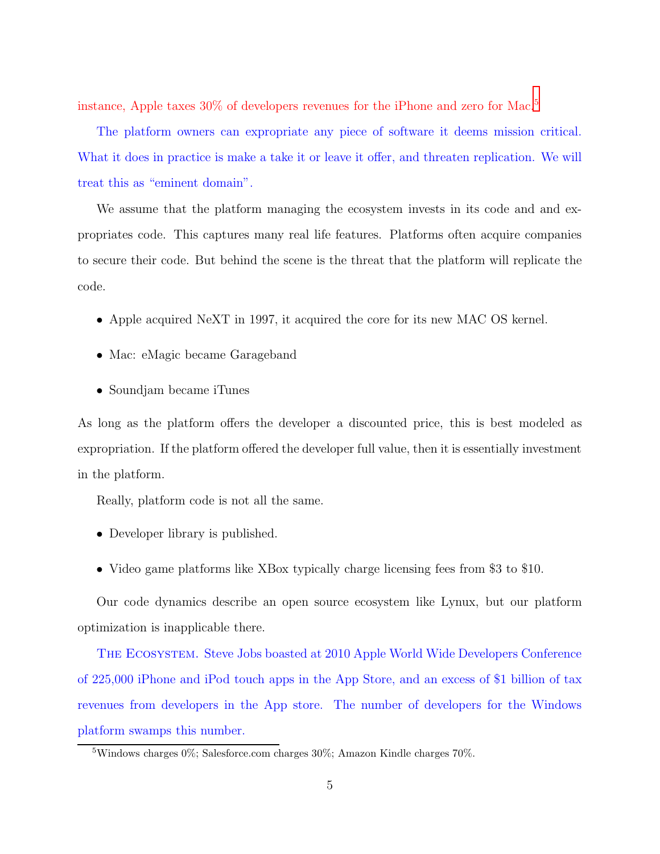instance, Apple taxes 30% of developers revenues for the iPhone and zero for Mac.<sup>[5](#page-5-0)</sup>

The platform owners can expropriate any piece of software it deems mission critical. What it does in practice is make a take it or leave it offer, and threaten replication. We will treat this as "eminent domain".

We assume that the platform managing the ecosystem invests in its code and and expropriates code. This captures many real life features. Platforms often acquire companies to secure their code. But behind the scene is the threat that the platform will replicate the code.

- Apple acquired NeXT in 1997, it acquired the core for its new MAC OS kernel.
- Mac: eMagic became Garageband
- Soundjam became iTunes

As long as the platform offers the developer a discounted price, this is best modeled as expropriation. If the platform offered the developer full value, then it is essentially investment in the platform.

Really, platform code is not all the same.

- Developer library is published.
- Video game platforms like XBox typically charge licensing fees from \$3 to \$10.

Our code dynamics describe an open source ecosystem like Lynux, but our platform optimization is inapplicable there.

The Ecosystem. Steve Jobs boasted at 2010 Apple World Wide Developers Conference of 225,000 iPhone and iPod touch apps in the App Store, and an excess of \$1 billion of tax revenues from developers in the App store. The number of developers for the Windows platform swamps this number.

<span id="page-5-0"></span><sup>&</sup>lt;sup>5</sup>Windows charges  $0\%$ ; Salesforce.com charges  $30\%$ ; Amazon Kindle charges  $70\%$ .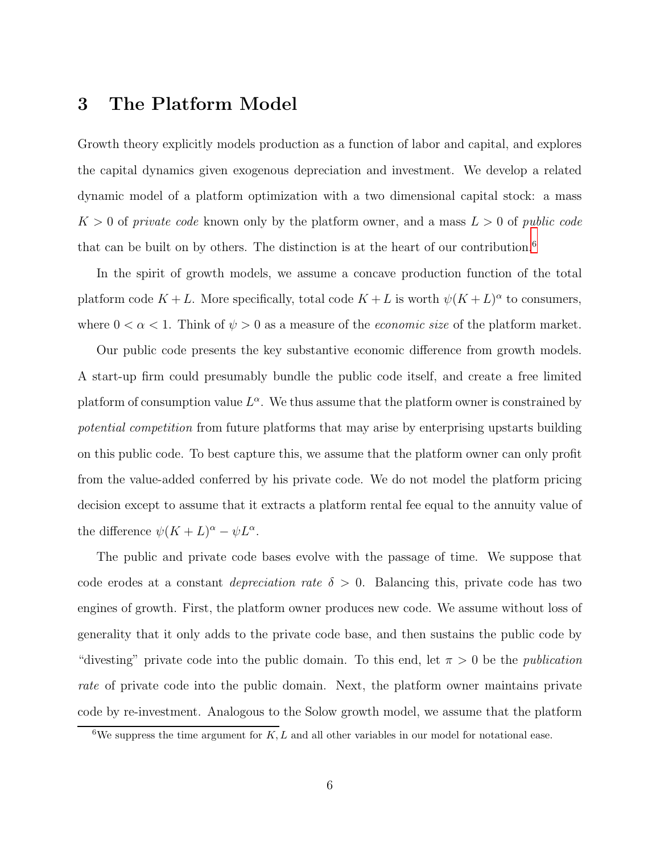# 3 The Platform Model

Growth theory explicitly models production as a function of labor and capital, and explores the capital dynamics given exogenous depreciation and investment. We develop a related dynamic model of a platform optimization with a two dimensional capital stock: a mass  $K > 0$  of private code known only by the platform owner, and a mass  $L > 0$  of public code that can be built on by others. The distinction is at the heart of our contribution.<sup>[6](#page-6-0)</sup>

In the spirit of growth models, we assume a concave production function of the total platform code  $K + L$ . More specifically, total code  $K + L$  is worth  $\psi(K + L)^{\alpha}$  to consumers, where  $0 < \alpha < 1$ . Think of  $\psi > 0$  as a measure of the *economic size* of the platform market.

Our public code presents the key substantive economic difference from growth models. A start-up firm could presumably bundle the public code itself, and create a free limited platform of consumption value  $L^{\alpha}$ . We thus assume that the platform owner is constrained by potential competition from future platforms that may arise by enterprising upstarts building on this public code. To best capture this, we assume that the platform owner can only profit from the value-added conferred by his private code. We do not model the platform pricing decision except to assume that it extracts a platform rental fee equal to the annuity value of the difference  $\psi(K+L)^{\alpha} - \psi L^{\alpha}$ .

The public and private code bases evolve with the passage of time. We suppose that code erodes at a constant *depreciation rate*  $\delta > 0$ . Balancing this, private code has two engines of growth. First, the platform owner produces new code. We assume without loss of generality that it only adds to the private code base, and then sustains the public code by "divesting" private code into the public domain. To this end, let  $\pi > 0$  be the *publication* rate of private code into the public domain. Next, the platform owner maintains private code by re-investment. Analogous to the Solow growth model, we assume that the platform

<span id="page-6-0"></span><sup>&</sup>lt;sup>6</sup>We suppress the time argument for  $K, L$  and all other variables in our model for notational ease.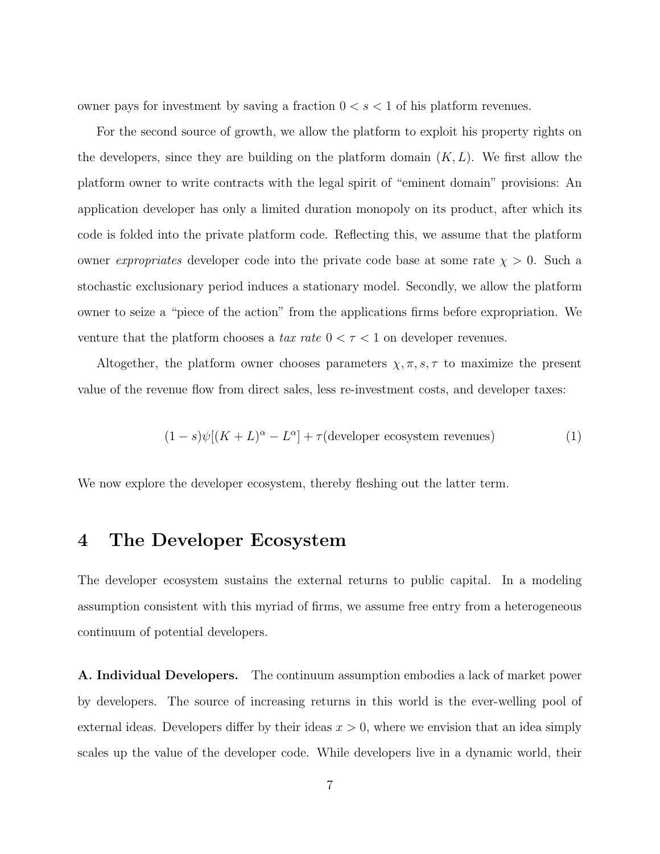owner pays for investment by saving a fraction  $0 < s < 1$  of his platform revenues.

For the second source of growth, we allow the platform to exploit his property rights on the developers, since they are building on the platform domain  $(K, L)$ . We first allow the platform owner to write contracts with the legal spirit of "eminent domain" provisions: An application developer has only a limited duration monopoly on its product, after which its code is folded into the private platform code. Reflecting this, we assume that the platform owner *expropriates* developer code into the private code base at some rate  $\chi > 0$ . Such a stochastic exclusionary period induces a stationary model. Secondly, we allow the platform owner to seize a "piece of the action" from the applications firms before expropriation. We venture that the platform chooses a tax rate  $0 < \tau < 1$  on developer revenues.

Altogether, the platform owner chooses parameters  $\chi, \pi, s, \tau$  to maximize the present value of the revenue flow from direct sales, less re-investment costs, and developer taxes:

<span id="page-7-0"></span>
$$
(1 - s)\psi[(K + L)^{\alpha} - L^{\alpha}] + \tau(\text{development ecosystems})
$$
\n(1)

We now explore the developer ecosystem, thereby fleshing out the latter term.

### 4 The Developer Ecosystem

The developer ecosystem sustains the external returns to public capital. In a modeling assumption consistent with this myriad of firms, we assume free entry from a heterogeneous continuum of potential developers.

A. Individual Developers. The continuum assumption embodies a lack of market power by developers. The source of increasing returns in this world is the ever-welling pool of external ideas. Developers differ by their ideas  $x > 0$ , where we envision that an idea simply scales up the value of the developer code. While developers live in a dynamic world, their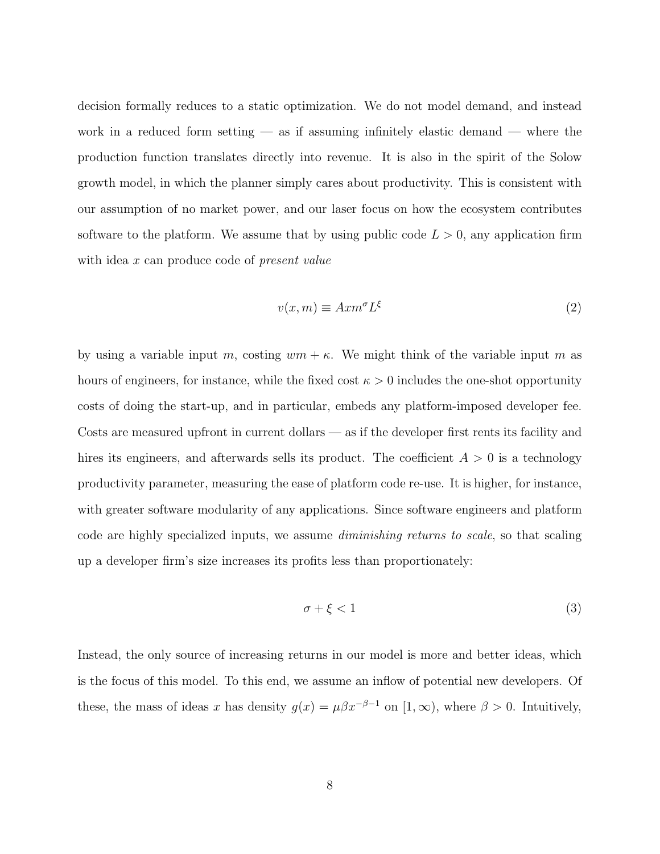decision formally reduces to a static optimization. We do not model demand, and instead work in a reduced form setting  $-$  as if assuming infinitely elastic demand  $-$  where the production function translates directly into revenue. It is also in the spirit of the Solow growth model, in which the planner simply cares about productivity. This is consistent with our assumption of no market power, and our laser focus on how the ecosystem contributes software to the platform. We assume that by using public code  $L > 0$ , any application firm with idea x can produce code of *present value* 

<span id="page-8-0"></span>
$$
v(x,m) \equiv Axm^{\sigma}L^{\xi}
$$
 (2)

by using a variable input m, costing  $wm + \kappa$ . We might think of the variable input m as hours of engineers, for instance, while the fixed cost  $\kappa > 0$  includes the one-shot opportunity costs of doing the start-up, and in particular, embeds any platform-imposed developer fee. Costs are measured upfront in current dollars — as if the developer first rents its facility and hires its engineers, and afterwards sells its product. The coefficient  $A > 0$  is a technology productivity parameter, measuring the ease of platform code re-use. It is higher, for instance, with greater software modularity of any applications. Since software engineers and platform code are highly specialized inputs, we assume diminishing returns to scale, so that scaling up a developer firm's size increases its profits less than proportionately:

<span id="page-8-1"></span>
$$
\sigma + \xi < 1\tag{3}
$$

Instead, the only source of increasing returns in our model is more and better ideas, which is the focus of this model. To this end, we assume an inflow of potential new developers. Of these, the mass of ideas x has density  $g(x) = \mu \beta x^{-\beta - 1}$  on  $[1, \infty)$ , where  $\beta > 0$ . Intuitively,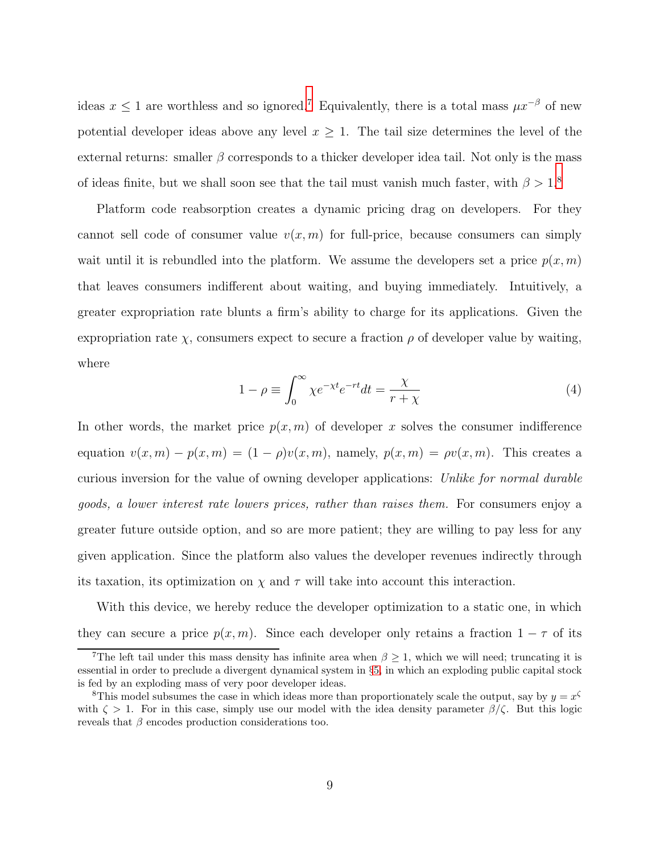ideas  $x \leq 1$  are worthless and so ignored.<sup>[7](#page-9-0)</sup> Equivalently, there is a total mass  $\mu x^{-\beta}$  of new potential developer ideas above any level  $x \geq 1$ . The tail size determines the level of the external returns: smaller  $\beta$  corresponds to a thicker developer idea tail. Not only is the mass of ideas finite, but we shall soon see that the tail must vanish much faster, with  $\beta > 1.8$  $\beta > 1.8$ 

Platform code reabsorption creates a dynamic pricing drag on developers. For they cannot sell code of consumer value  $v(x, m)$  for full-price, because consumers can simply wait until it is rebundled into the platform. We assume the developers set a price  $p(x, m)$ that leaves consumers indifferent about waiting, and buying immediately. Intuitively, a greater expropriation rate blunts a firm's ability to charge for its applications. Given the expropriation rate  $\chi$ , consumers expect to secure a fraction  $\rho$  of developer value by waiting, where

<span id="page-9-2"></span>
$$
1 - \rho \equiv \int_0^\infty \chi e^{-\chi t} e^{-rt} dt = \frac{\chi}{r + \chi} \tag{4}
$$

In other words, the market price  $p(x, m)$  of developer x solves the consumer indifference equation  $v(x, m) - p(x, m) = (1 - \rho)v(x, m)$ , namely,  $p(x, m) = \rho v(x, m)$ . This creates a curious inversion for the value of owning developer applications: Unlike for normal durable goods, a lower interest rate lowers prices, rather than raises them. For consumers enjoy a greater future outside option, and so are more patient; they are willing to pay less for any given application. Since the platform also values the developer revenues indirectly through its taxation, its optimization on  $\chi$  and  $\tau$  will take into account this interaction.

With this device, we hereby reduce the developer optimization to a static one, in which they can secure a price  $p(x, m)$ . Since each developer only retains a fraction  $1 - \tau$  of its

<span id="page-9-0"></span><sup>&</sup>lt;sup>7</sup>The left tail under this mass density has infinite area when  $\beta \geq 1$ , which we will need; truncating it is essential in order to preclude a divergent dynamical system in §[5,](#page-12-0) in which an exploding public capital stock is fed by an exploding mass of very poor developer ideas.

<span id="page-9-1"></span><sup>&</sup>lt;sup>8</sup>This model subsumes the case in which ideas more than proportionately scale the output, say by  $y = x^{\zeta}$ with  $\zeta > 1$ . For in this case, simply use our model with the idea density parameter  $\beta/\zeta$ . But this logic reveals that  $\beta$  encodes production considerations too.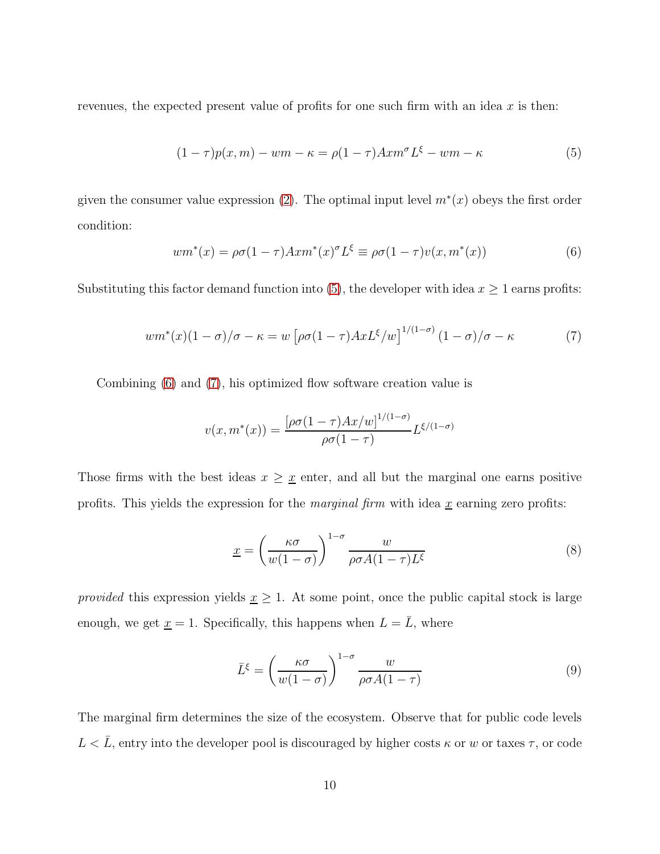revenues, the expected present value of profits for one such firm with an idea  $x$  is then:

<span id="page-10-0"></span>
$$
(1 - \tau)p(x, m) - w m - \kappa = \rho(1 - \tau) A x m^{\sigma} L^{\xi} - w m - \kappa \tag{5}
$$

given the consumer value expression [\(2\)](#page-8-0). The optimal input level  $m^*(x)$  obeys the first order condition:

<span id="page-10-1"></span>
$$
wm^*(x) = \rho \sigma (1 - \tau) A x m^*(x)^{\sigma} L^{\xi} \equiv \rho \sigma (1 - \tau) v(x, m^*(x)) \tag{6}
$$

Substituting this factor demand function into [\(5\)](#page-10-0), the developer with idea  $x \ge 1$  earns profits:

<span id="page-10-2"></span>
$$
wm^*(x)(1-\sigma)/\sigma - \kappa = w \left[ \rho \sigma (1-\tau) A x L^{\xi}/w \right]^{1/(1-\sigma)} (1-\sigma)/\sigma - \kappa \tag{7}
$$

Combining [\(6\)](#page-10-1) and [\(7\)](#page-10-2), his optimized flow software creation value is

$$
v(x, m^*(x)) = \frac{\left[\rho \sigma (1-\tau) A x / w\right]^{1/(1-\sigma)}}{\rho \sigma (1-\tau)} L^{\xi/(1-\sigma)}
$$

Those firms with the best ideas  $x \geq \underline{x}$  enter, and all but the marginal one earns positive profits. This yields the expression for the *marginal firm* with idea  $\underline{x}$  earning zero profits:

<span id="page-10-3"></span>
$$
\underline{x} = \left(\frac{\kappa \sigma}{w(1-\sigma)}\right)^{1-\sigma} \frac{w}{\rho \sigma A (1-\tau) L^{\xi}}
$$
(8)

provided this expression yields  $x \geq 1$ . At some point, once the public capital stock is large enough, we get  $\underline{x} = 1$ . Specifically, this happens when  $L = \overline{L}$ , where

<span id="page-10-4"></span>
$$
\bar{L}^{\xi} = \left(\frac{\kappa\sigma}{w(1-\sigma)}\right)^{1-\sigma} \frac{w}{\rho\sigma A(1-\tau)}
$$
(9)

The marginal firm determines the size of the ecosystem. Observe that for public code levels  $L < \overline{L}$ , entry into the developer pool is discouraged by higher costs  $\kappa$  or w or taxes  $\tau$ , or code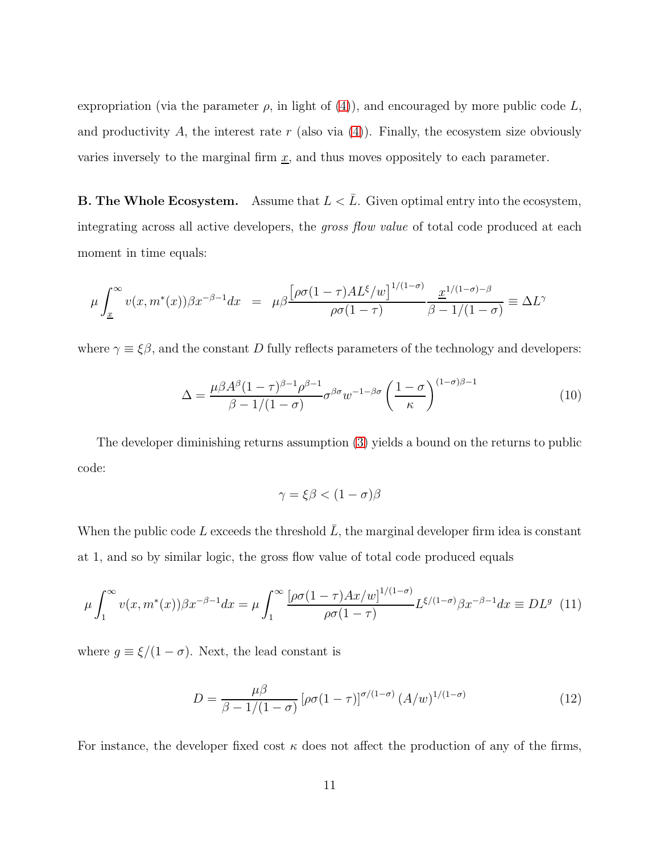expropriation (via the parameter  $\rho$ , in light of [\(4\)](#page-9-2)), and encouraged by more public code L, and productivity A, the interest rate r (also via  $(4)$ ). Finally, the ecosystem size obviously varies inversely to the marginal firm  $\underline{x}$ , and thus moves oppositely to each parameter.

**B. The Whole Ecosystem.** Assume that  $L < \overline{L}$ . Given optimal entry into the ecosystem, integrating across all active developers, the *gross flow value* of total code produced at each moment in time equals:

$$
\mu \int_{\underline{x}}^{\infty} v(x, m^*(x)) \beta x^{-\beta - 1} dx = \mu \beta \frac{\left[\rho \sigma (1 - \tau) A L^{\xi}/w\right]^{1/(1 - \sigma)}}{\rho \sigma (1 - \tau)} \frac{\underline{x}^{1/(1 - \sigma) - \beta}}{\beta - 1/(1 - \sigma)} \equiv \Delta L^{\gamma}
$$

where  $\gamma \equiv \xi \beta$ , and the constant D fully reflects parameters of the technology and developers:

<span id="page-11-0"></span>
$$
\Delta = \frac{\mu \beta A^{\beta} (1 - \tau)^{\beta - 1} \rho^{\beta - 1}}{\beta - 1 / (1 - \sigma)} \sigma^{\beta \sigma} w^{-1 - \beta \sigma} \left( \frac{1 - \sigma}{\kappa} \right)^{(1 - \sigma)\beta - 1}
$$
(10)

The developer diminishing returns assumption [\(3\)](#page-8-1) yields a bound on the returns to public code:

$$
\gamma = \xi \beta < (1 - \sigma)\beta
$$

When the public code L exceeds the threshold  $\overline{L}$ , the marginal developer firm idea is constant at 1, and so by similar logic, the gross flow value of total code produced equals

<span id="page-11-2"></span>
$$
\mu \int_1^\infty v(x, m^*(x)) \beta x^{-\beta - 1} dx = \mu \int_1^\infty \frac{\left[\rho \sigma (1 - \tau) A x / w\right]^{1/(1 - \sigma)}}{\rho \sigma (1 - \tau)} L^{\xi/(1 - \sigma)} \beta x^{-\beta - 1} dx \equiv DL^g \tag{11}
$$

where  $g \equiv \xi/(1-\sigma)$ . Next, the lead constant is

<span id="page-11-1"></span>
$$
D = \frac{\mu \beta}{\beta - 1/(1 - \sigma)} \left[ \rho \sigma (1 - \tau) \right]^{\sigma/(1 - \sigma)} (A/w)^{1/(1 - \sigma)}
$$
(12)

For instance, the developer fixed cost  $\kappa$  does not affect the production of any of the firms,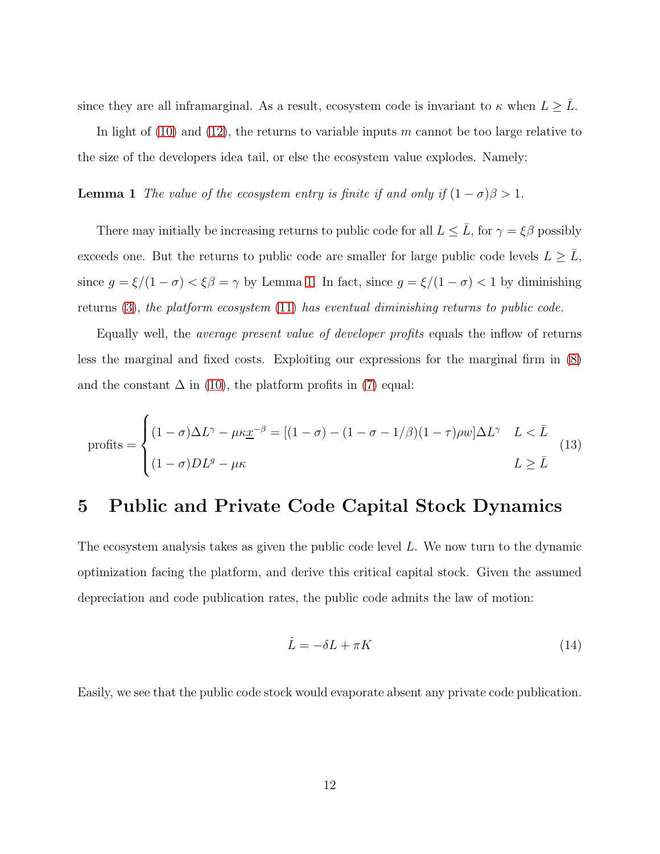since they are all inframarginal. As a result, ecosystem code is invariant to  $\kappa$  when  $L \geq \overline{L}$ .

<span id="page-12-1"></span>In light of [\(10\)](#page-11-0) and [\(12\)](#page-11-1), the returns to variable inputs m cannot be too large relative to the size of the developers idea tail, or else the ecosystem value explodes. Namely:

**Lemma 1** The value of the ecosystem entry is finite if and only if  $(1 - \sigma)\beta > 1$ .

There may initially be increasing returns to public code for all  $L \leq \bar{L}$ , for  $\gamma = \xi \beta$  possibly exceeds one. But the returns to public code are smaller for large public code levels  $L \geq \overline{L}$ , since  $g = \xi/(1 - \sigma) < \xi \beta = \gamma$  by Lemma [1.](#page-12-1) In fact, since  $g = \xi/(1 - \sigma) < 1$  by diminishing returns [\(3\)](#page-8-1), the platform ecosystem [\(11\)](#page-11-2) has eventual diminishing returns to public code.

Equally well, the average present value of developer profits equals the inflow of returns less the marginal and fixed costs. Exploiting our expressions for the marginal firm in [\(8\)](#page-10-3) and the constant  $\Delta$  in [\(10\)](#page-11-0), the platform profits in [\(7\)](#page-10-2) equal:

<span id="page-12-3"></span>
$$
profits = \begin{cases} (1 - \sigma)\Delta L^{\gamma} - \mu \kappa \underline{x}^{-\beta} = [(1 - \sigma) - (1 - \sigma - 1/\beta)(1 - \tau)\rho w]\Delta L^{\gamma} & L < \bar{L} \\ (1 - \sigma)DL^g - \mu \kappa & L \ge \bar{L} \end{cases} \tag{13}
$$

# <span id="page-12-0"></span>5 Public and Private Code Capital Stock Dynamics

The ecosystem analysis takes as given the public code level L. We now turn to the dynamic optimization facing the platform, and derive this critical capital stock. Given the assumed depreciation and code publication rates, the public code admits the law of motion:

<span id="page-12-2"></span>
$$
\dot{L} = -\delta L + \pi K \tag{14}
$$

Easily, we see that the public code stock would evaporate absent any private code publication.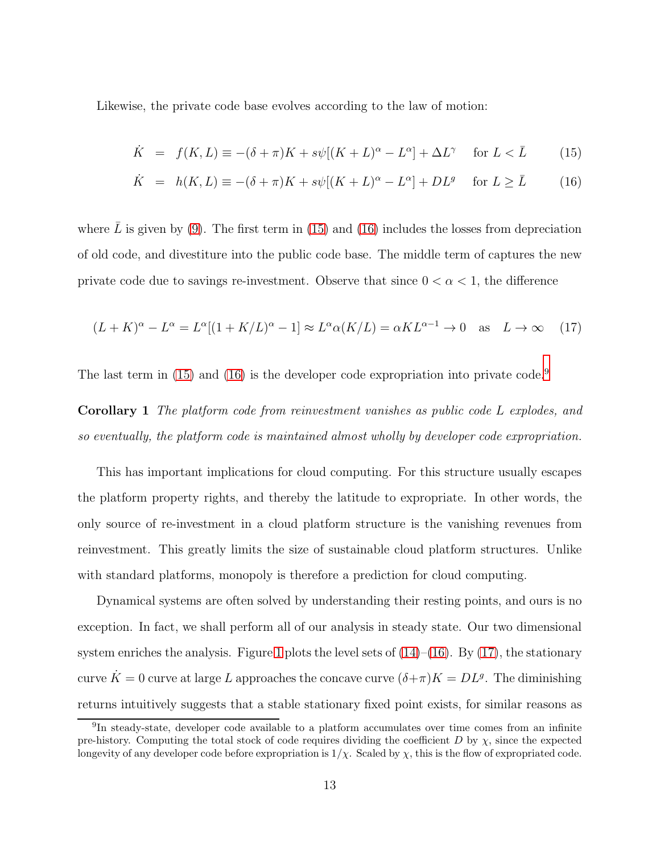Likewise, the private code base evolves according to the law of motion:

<span id="page-13-0"></span>
$$
\dot{K} = f(K, L) \equiv -(\delta + \pi)K + s\psi[(K + L)^{\alpha} - L^{\alpha}] + \Delta L^{\gamma} \quad \text{for } L < \bar{L}
$$
 (15)

$$
\dot{K} = h(K, L) \equiv -(\delta + \pi)K + s\psi[(K + L)^{\alpha} - L^{\alpha}] + DL^{g} \quad \text{for } L \ge \bar{L}
$$
 (16)

where L is given by  $(9)$ . The first term in  $(15)$  and  $(16)$  includes the losses from depreciation of old code, and divestiture into the public code base. The middle term of captures the new private code due to savings re-investment. Observe that since  $0 < \alpha < 1$ , the difference

<span id="page-13-2"></span>
$$
(L+K)^{\alpha} - L^{\alpha} = L^{\alpha}[(1+K/L)^{\alpha} - 1] \approx L^{\alpha} \alpha(K/L) = \alpha KL^{\alpha-1} \to 0 \quad \text{as} \quad L \to \infty \tag{17}
$$

The last term in  $(15)$  and  $(16)$  is the developer code expropriation into private code.<sup>[9](#page-13-1)</sup>

Corollary 1 The platform code from reinvestment vanishes as public code L explodes, and so eventually, the platform code is maintained almost wholly by developer code expropriation.

This has important implications for cloud computing. For this structure usually escapes the platform property rights, and thereby the latitude to expropriate. In other words, the only source of re-investment in a cloud platform structure is the vanishing revenues from reinvestment. This greatly limits the size of sustainable cloud platform structures. Unlike with standard platforms, monopoly is therefore a prediction for cloud computing.

Dynamical systems are often solved by understanding their resting points, and ours is no exception. In fact, we shall perform all of our analysis in steady state. Our two dimensional system enriches the analysis. Figure [1](#page-14-0) plots the level sets of  $(14)$ – $(16)$ . By  $(17)$ , the stationary curve  $\dot{K} = 0$  curve at large L approaches the concave curve  $(\delta + \pi)K = DL^g$ . The diminishing returns intuitively suggests that a stable stationary fixed point exists, for similar reasons as

<span id="page-13-1"></span><sup>&</sup>lt;sup>9</sup>In steady-state, developer code available to a platform accumulates over time comes from an infinite pre-history. Computing the total stock of code requires dividing the coefficient  $D$  by  $\chi$ , since the expected longevity of any developer code before expropriation is  $1/\chi$ . Scaled by  $\chi$ , this is the flow of expropriated code.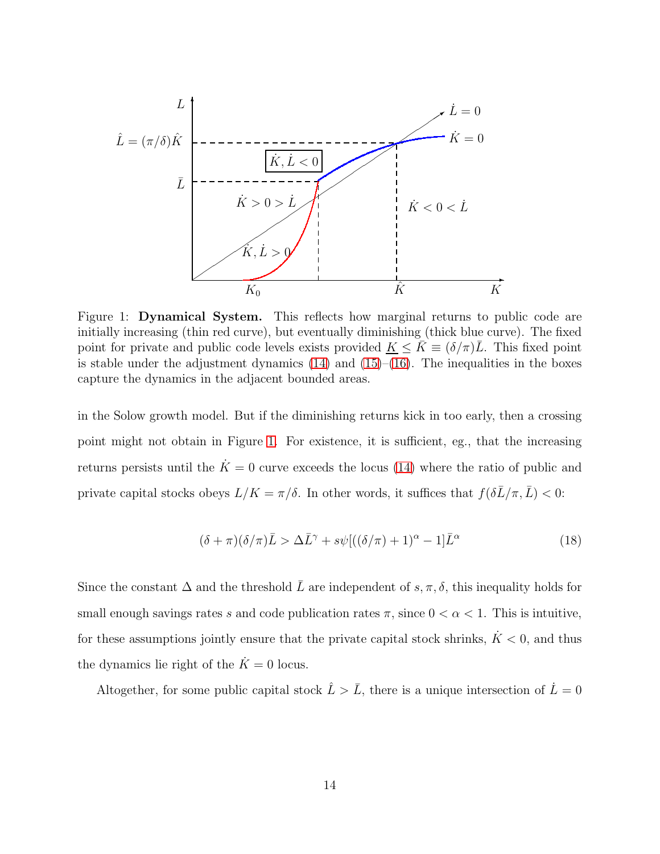

<span id="page-14-0"></span>Figure 1: Dynamical System. This reflects how marginal returns to public code are initially increasing (thin red curve), but eventually diminishing (thick blue curve). The fixed point for private and public code levels exists provided  $K \leq \bar{K} \equiv (\delta/\pi)\bar{L}$ . This fixed point is stable under the adjustment dynamics  $(14)$  and  $(15)–(16)$  $(15)–(16)$ . The inequalities in the boxes capture the dynamics in the adjacent bounded areas.

in the Solow growth model. But if the diminishing returns kick in too early, then a crossing point might not obtain in Figure [1.](#page-14-0) For existence, it is sufficient, eg., that the increasing returns persists until the  $\dot{K} = 0$  curve exceeds the locus [\(14\)](#page-12-2) where the ratio of public and private capital stocks obeys  $L/K = \pi/\delta$ . In other words, it suffices that  $f(\delta\bar{L}/\pi, \bar{L}) < 0$ :

$$
(\delta + \pi)(\delta/\pi)\bar{L} > \Delta \bar{L}^{\gamma} + s\psi [((\delta/\pi) + 1)^{\alpha} - 1]\bar{L}^{\alpha} \tag{18}
$$

Since the constant  $\Delta$  and the threshold  $\overline{L}$  are independent of  $s, \pi, \delta$ , this inequality holds for small enough savings rates s and code publication rates  $\pi$ , since  $0 < \alpha < 1$ . This is intuitive, for these assumptions jointly ensure that the private capital stock shrinks,  $\dot{K}$  < 0, and thus the dynamics lie right of the  $\dot{K} = 0$  locus.

Altogether, for some public capital stock  $\hat{L} > \bar{L}$ , there is a unique intersection of  $\dot{L} = 0$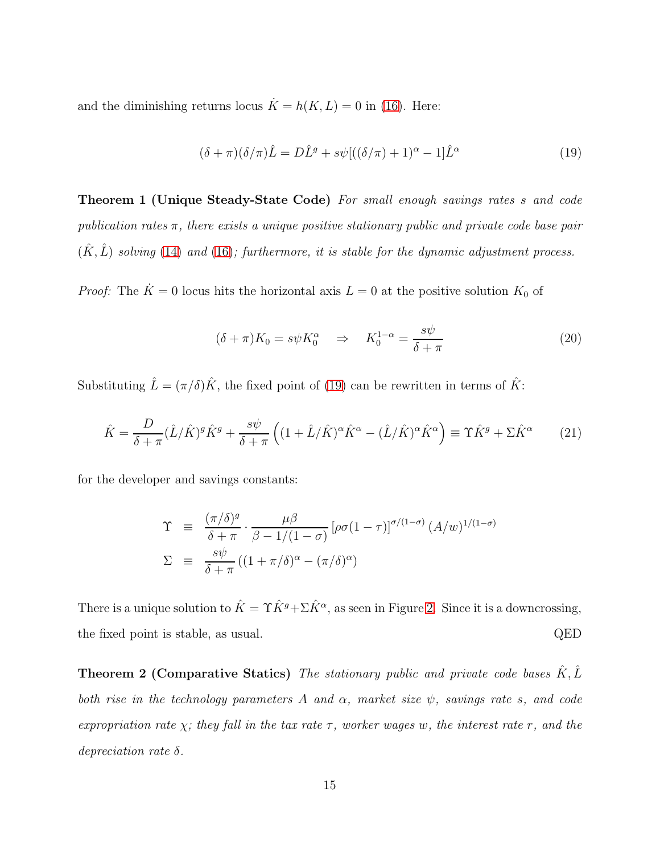and the diminishing returns locus  $\dot{K} = h(K, L) = 0$  in [\(16\)](#page-13-0). Here:

<span id="page-15-0"></span>
$$
(\delta + \pi)(\delta/\pi)\hat{L} = D\hat{L}^g + s\psi [((\delta/\pi) + 1)^\alpha - 1]\hat{L}^\alpha \tag{19}
$$

Theorem 1 (Unique Steady-State Code) For small enough savings rates s and code publication rates  $\pi$ , there exists a unique positive stationary public and private code base pair  $(\hat{K}, \hat{L})$  solving [\(14\)](#page-12-2) and [\(16\)](#page-13-0); furthermore, it is stable for the dynamic adjustment process.

*Proof:* The  $\dot{K} = 0$  locus hits the horizontal axis  $L = 0$  at the positive solution  $K_0$  of

$$
(\delta + \pi)K_0 = s\psi K_0^{\alpha} \quad \Rightarrow \quad K_0^{1-\alpha} = \frac{s\psi}{\delta + \pi} \tag{20}
$$

Substituting  $\hat{L} = (\pi/\delta)\hat{K}$ , the fixed point of [\(19\)](#page-15-0) can be rewritten in terms of  $\hat{K}$ :

<span id="page-15-1"></span>
$$
\hat{K} = \frac{D}{\delta + \pi} (\hat{L}/\hat{K})^g \hat{K}^g + \frac{s\psi}{\delta + \pi} \left( (1 + \hat{L}/\hat{K})^\alpha \hat{K}^\alpha - (\hat{L}/\hat{K})^\alpha \hat{K}^\alpha \right) \equiv \Upsilon \hat{K}^g + \Sigma \hat{K}^\alpha \tag{21}
$$

for the developer and savings constants:

$$
\begin{array}{rcl}\n\Upsilon & \equiv & \frac{(\pi/\delta)^g}{\delta + \pi} \cdot \frac{\mu \beta}{\beta - 1/(1 - \sigma)} \left[ \rho \sigma (1 - \tau) \right]^{\sigma/(1 - \sigma)} (A/w)^{1/(1 - \sigma)} \\
\Sigma & \equiv & \frac{s\psi}{\delta + \pi} \left( (1 + \pi/\delta)^{\alpha} - (\pi/\delta)^{\alpha} \right)\n\end{array}
$$

<span id="page-15-2"></span>There is a unique solution to  $\hat{K} = \Upsilon \hat{K}^g + \Sigma \hat{K}^\alpha$ , as seen in Figure [2.](#page-16-0) Since it is a downcrossing, the fixed point is stable, as usual. QED

**Theorem 2 (Comparative Statics)** The stationary public and private code bases  $\hat{K}, \hat{L}$ both rise in the technology parameters A and  $\alpha$ , market size  $\psi$ , savings rate s, and code expropriation rate  $\chi$ ; they fall in the tax rate  $\tau$ , worker wages w, the interest rate r, and the depreciation rate δ.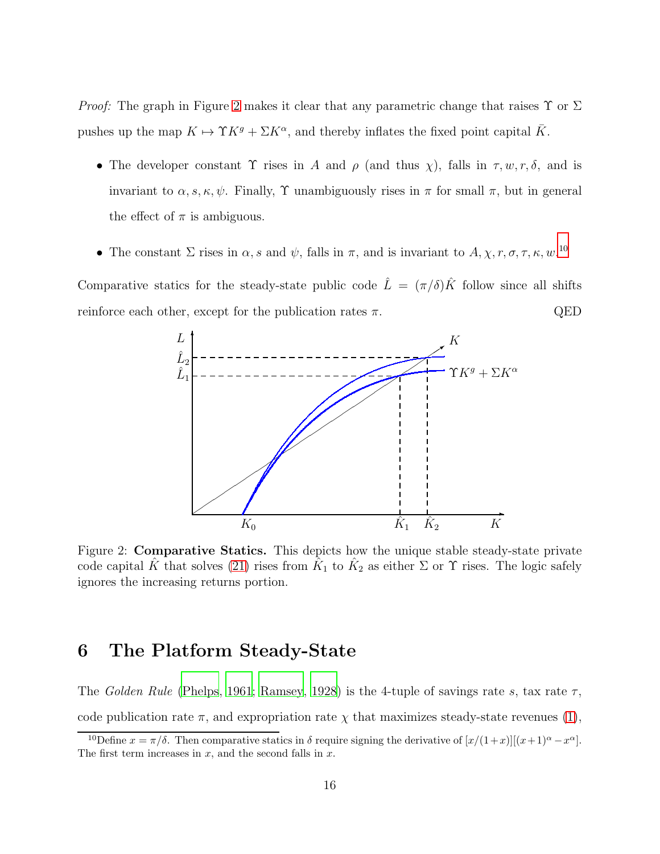*Proof:* The graph in Figure [2](#page-16-0) makes it clear that any parametric change that raises  $\Upsilon$  or  $\Sigma$ pushes up the map  $K \mapsto \Upsilon K^g + \Sigma K^{\alpha}$ , and thereby inflates the fixed point capital  $\overline{K}$ .

- The developer constant  $\Upsilon$  rises in A and  $\rho$  (and thus  $\chi$ ), falls in  $\tau, w, r, \delta$ , and is invariant to  $\alpha, s, \kappa, \psi$ . Finally,  $\Upsilon$  unambiguously rises in  $\pi$  for small  $\pi$ , but in general the effect of  $\pi$  is ambiguous.
- The constant  $\Sigma$  rises in  $\alpha$ , s and  $\psi$ , falls in  $\pi$ , and is invariant to  $A, \chi, r, \sigma, \tau, \kappa, w$ .<sup>[10](#page-16-1)</sup>

Comparative statics for the steady-state public code  $\hat{L} = (\pi/\delta)\hat{K}$  follow since all shifts reinforce each other, except for the publication rates  $\pi$ . QED



<span id="page-16-0"></span>Figure 2: Comparative Statics. This depicts how the unique stable steady-state private code capital  $\hat{K}$  that solves [\(21\)](#page-15-1) rises from  $\hat{K}_1$  to  $\hat{K}_2$  as either  $\Sigma$  or  $\Upsilon$  rises. The logic safely ignores the increasing returns portion.

### 6 The Platform Steady-State

The Golden Rule [\(Phelps](#page-20-7), [1961](#page-20-7); [Ramsey, 1928\)](#page-20-8) is the 4-tuple of savings rate s, tax rate  $\tau$ , code publication rate  $\pi$ , and expropriation rate  $\chi$  that maximizes steady-state revenues [\(1\)](#page-7-0),

<span id="page-16-1"></span><sup>&</sup>lt;sup>10</sup>Define  $x = \pi/\delta$ . Then comparative statics in  $\delta$  require signing the derivative of  $[x/(1+x)][(x+1)^{\alpha} - x^{\alpha}]$ . The first term increases in  $x$ , and the second falls in  $x$ .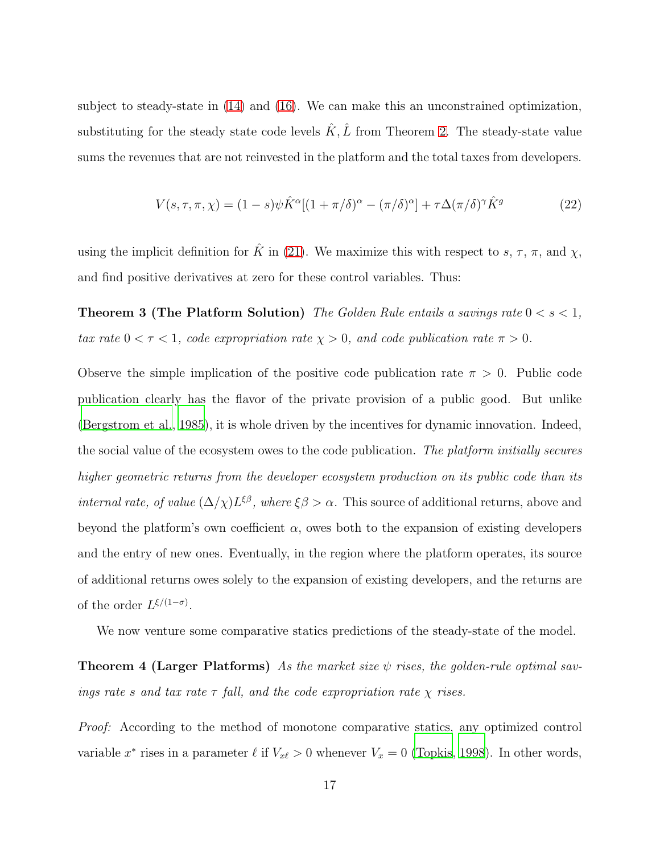subject to steady-state in [\(14\)](#page-12-2) and [\(16\)](#page-13-0). We can make this an unconstrained optimization, substituting for the steady state code levels  $\hat{K}, \hat{L}$  from Theorem [2.](#page-15-2) The steady-state value sums the revenues that are not reinvested in the platform and the total taxes from developers.

<span id="page-17-1"></span><span id="page-17-0"></span>
$$
V(s,\tau,\pi,\chi) = (1-s)\psi \hat{K}^{\alpha}[(1+\pi/\delta)^{\alpha} - (\pi/\delta)^{\alpha}] + \tau \Delta(\pi/\delta)^{\gamma} \hat{K}^{g}
$$
(22)

using the implicit definition for  $\hat{K}$  in [\(21\)](#page-15-1). We maximize this with respect to s,  $\tau$ ,  $\pi$ , and  $\chi$ , and find positive derivatives at zero for these control variables. Thus:

**Theorem 3 (The Platform Solution)** The Golden Rule entails a savings rate  $0 < s < 1$ , tax rate  $0 < \tau < 1$ , code expropriation rate  $\chi > 0$ , and code publication rate  $\pi > 0$ .

Observe the simple implication of the positive code publication rate  $\pi > 0$ . Public code publication clearly has the flavor of the private provision of a public good. But unlike [\(Bergstrom et al., 1985\)](#page-20-9), it is whole driven by the incentives for dynamic innovation. Indeed, the social value of the ecosystem owes to the code publication. The platform initially secures higher geometric returns from the developer ecosystem production on its public code than its *internal rate, of value*  $(\Delta/\chi)L^{\xi\beta}$ , where  $\xi\beta > \alpha$ . This source of additional returns, above and beyond the platform's own coefficient  $\alpha$ , owes both to the expansion of existing developers and the entry of new ones. Eventually, in the region where the platform operates, its source of additional returns owes solely to the expansion of existing developers, and the returns are of the order  $L^{\xi/(1-\sigma)}$ .

We now venture some comparative statics predictions of the steady-state of the model.

**Theorem 4 (Larger Platforms)** As the market size  $\psi$  rises, the golden-rule optimal savings rate s and tax rate  $\tau$  fall, and the code expropriation rate  $\chi$  rises.

Proof: According to the method of monotone comparative statics, any optimized control variable  $x^*$  rises in a parameter  $\ell$  if  $V_{x\ell} > 0$  whenever  $V_x = 0$  [\(Topkis, 1998\)](#page-20-10). In other words,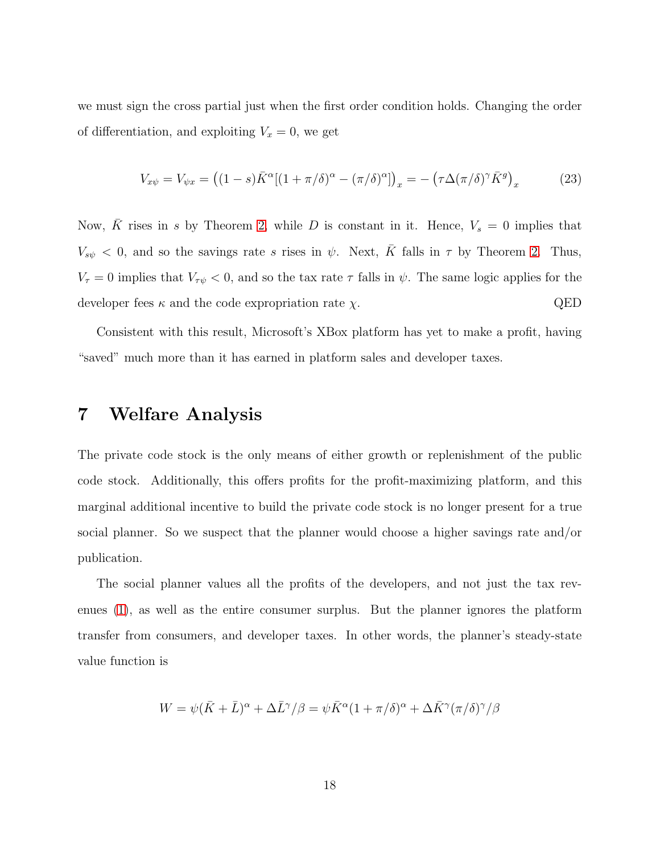we must sign the cross partial just when the first order condition holds. Changing the order of differentiation, and exploiting  $V_x = 0$ , we get

$$
V_{x\psi} = V_{\psi x} = ((1 - s)\bar{K}^{\alpha}[(1 + \pi/\delta)^{\alpha} - (\pi/\delta)^{\alpha}])_x = -(\tau\Delta(\pi/\delta)^{\gamma}\bar{K}^g)_x
$$
(23)

Now,  $\overline{K}$  rises in s by Theorem [2,](#page-15-2) while D is constant in it. Hence,  $V_s = 0$  implies that  $V_{s\psi} < 0$ , and so the savings rate s rises in  $\psi$ . Next,  $\bar{K}$  falls in  $\tau$  by Theorem [2.](#page-15-2) Thus,  $V_{\tau} = 0$  implies that  $V_{\tau\psi} < 0$ , and so the tax rate  $\tau$  falls in  $\psi$ . The same logic applies for the developer fees  $\kappa$  and the code expropriation rate  $\chi$ . QED

Consistent with this result, Microsoft's XBox platform has yet to make a profit, having "saved" much more than it has earned in platform sales and developer taxes.

# 7 Welfare Analysis

The private code stock is the only means of either growth or replenishment of the public code stock. Additionally, this offers profits for the profit-maximizing platform, and this marginal additional incentive to build the private code stock is no longer present for a true social planner. So we suspect that the planner would choose a higher savings rate and/or publication.

The social planner values all the profits of the developers, and not just the tax revenues [\(1\)](#page-7-0), as well as the entire consumer surplus. But the planner ignores the platform transfer from consumers, and developer taxes. In other words, the planner's steady-state value function is

$$
W = \psi(\bar{K} + \bar{L})^{\alpha} + \Delta \bar{L}^{\gamma}/\beta = \psi \bar{K}^{\alpha} (1 + \pi/\delta)^{\alpha} + \Delta \bar{K}^{\gamma} (\pi/\delta)^{\gamma}/\beta
$$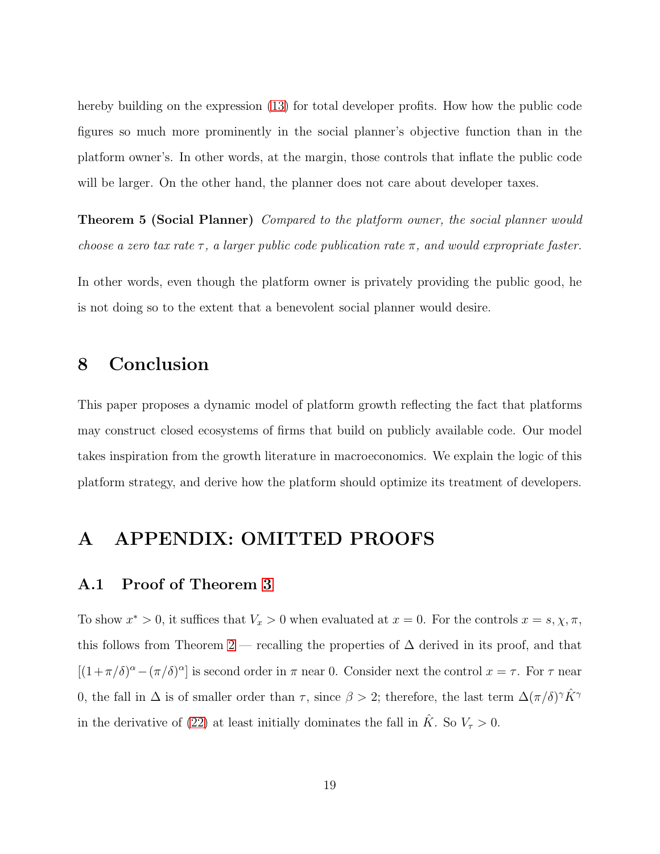hereby building on the expression [\(13\)](#page-12-3) for total developer profits. How how the public code figures so much more prominently in the social planner's objective function than in the platform owner's. In other words, at the margin, those controls that inflate the public code will be larger. On the other hand, the planner does not care about developer taxes.

Theorem 5 (Social Planner) Compared to the platform owner, the social planner would choose a zero tax rate  $\tau$ , a larger public code publication rate  $\pi$ , and would expropriate faster.

In other words, even though the platform owner is privately providing the public good, he is not doing so to the extent that a benevolent social planner would desire.

# 8 Conclusion

This paper proposes a dynamic model of platform growth reflecting the fact that platforms may construct closed ecosystems of firms that build on publicly available code. Our model takes inspiration from the growth literature in macroeconomics. We explain the logic of this platform strategy, and derive how the platform should optimize its treatment of developers.

# A APPENDIX: OMITTED PROOFS

#### A.1 Proof of Theorem [3](#page-17-0)

To show  $x^* > 0$ , it suffices that  $V_x > 0$  when evaluated at  $x = 0$ . For the controls  $x = s, \chi, \pi$ , this follows from Theorem [2](#page-15-2) — recalling the properties of  $\Delta$  derived in its proof, and that  $[(1+\pi/\delta)^{\alpha} - (\pi/\delta)^{\alpha}]$  is second order in  $\pi$  near 0. Consider next the control  $x = \tau$ . For  $\tau$  near 0, the fall in  $\Delta$  is of smaller order than  $\tau$ , since  $\beta > 2$ ; therefore, the last term  $\Delta(\pi/\delta)^{\gamma} \hat{K}^{\gamma}$ in the derivative of [\(22\)](#page-17-1) at least initially dominates the fall in  $\hat{K}$ . So  $V_{\tau} > 0$ .